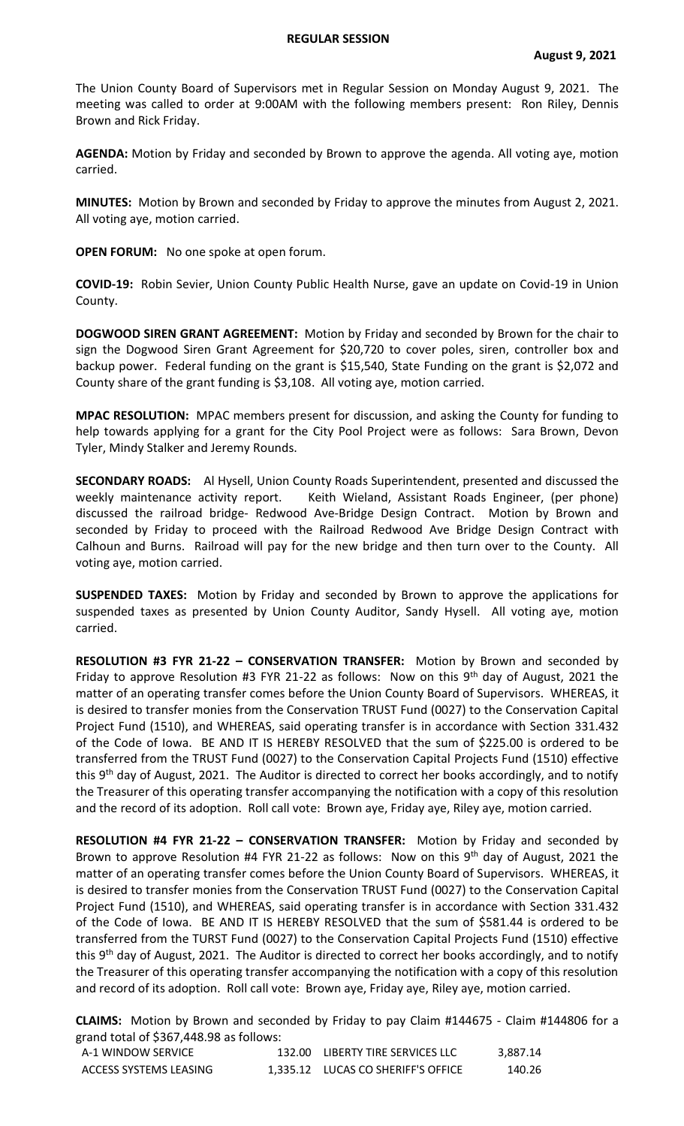## **REGULAR SESSION**

The Union County Board of Supervisors met in Regular Session on Monday August 9, 2021. The meeting was called to order at 9:00AM with the following members present: Ron Riley, Dennis Brown and Rick Friday.

**AGENDA:** Motion by Friday and seconded by Brown to approve the agenda. All voting aye, motion carried.

**MINUTES:** Motion by Brown and seconded by Friday to approve the minutes from August 2, 2021. All voting aye, motion carried.

**OPEN FORUM:** No one spoke at open forum.

**COVID-19:** Robin Sevier, Union County Public Health Nurse, gave an update on Covid-19 in Union County.

**DOGWOOD SIREN GRANT AGREEMENT:** Motion by Friday and seconded by Brown for the chair to sign the Dogwood Siren Grant Agreement for \$20,720 to cover poles, siren, controller box and backup power. Federal funding on the grant is \$15,540, State Funding on the grant is \$2,072 and County share of the grant funding is \$3,108. All voting aye, motion carried.

**MPAC RESOLUTION:** MPAC members present for discussion, and asking the County for funding to help towards applying for a grant for the City Pool Project were as follows: Sara Brown, Devon Tyler, Mindy Stalker and Jeremy Rounds.

**SECONDARY ROADS:** Al Hysell, Union County Roads Superintendent, presented and discussed the weekly maintenance activity report. Keith Wieland, Assistant Roads Engineer, (per phone) discussed the railroad bridge- Redwood Ave-Bridge Design Contract. Motion by Brown and seconded by Friday to proceed with the Railroad Redwood Ave Bridge Design Contract with Calhoun and Burns. Railroad will pay for the new bridge and then turn over to the County. All voting aye, motion carried.

**SUSPENDED TAXES:** Motion by Friday and seconded by Brown to approve the applications for suspended taxes as presented by Union County Auditor, Sandy Hysell. All voting aye, motion carried.

**RESOLUTION #3 FYR 21-22 – CONSERVATION TRANSFER:** Motion by Brown and seconded by Friday to approve Resolution #3 FYR 21-22 as follows: Now on this  $9<sup>th</sup>$  day of August, 2021 the matter of an operating transfer comes before the Union County Board of Supervisors. WHEREAS, it is desired to transfer monies from the Conservation TRUST Fund (0027) to the Conservation Capital Project Fund (1510), and WHEREAS, said operating transfer is in accordance with Section 331.432 of the Code of Iowa. BE AND IT IS HEREBY RESOLVED that the sum of \$225.00 is ordered to be transferred from the TRUST Fund (0027) to the Conservation Capital Projects Fund (1510) effective this 9<sup>th</sup> day of August, 2021. The Auditor is directed to correct her books accordingly, and to notify the Treasurer of this operating transfer accompanying the notification with a copy of this resolution and the record of its adoption. Roll call vote: Brown aye, Friday aye, Riley aye, motion carried.

**RESOLUTION #4 FYR 21-22 – CONSERVATION TRANSFER:** Motion by Friday and seconded by Brown to approve Resolution #4 FYR 21-22 as follows: Now on this  $9<sup>th</sup>$  day of August, 2021 the matter of an operating transfer comes before the Union County Board of Supervisors. WHEREAS, it is desired to transfer monies from the Conservation TRUST Fund (0027) to the Conservation Capital Project Fund (1510), and WHEREAS, said operating transfer is in accordance with Section 331.432 of the Code of Iowa. BE AND IT IS HEREBY RESOLVED that the sum of \$581.44 is ordered to be transferred from the TURST Fund (0027) to the Conservation Capital Projects Fund (1510) effective this 9<sup>th</sup> day of August, 2021. The Auditor is directed to correct her books accordingly, and to notify the Treasurer of this operating transfer accompanying the notification with a copy of this resolution and record of its adoption. Roll call vote: Brown aye, Friday aye, Riley aye, motion carried.

**CLAIMS:** Motion by Brown and seconded by Friday to pay Claim #144675 - Claim #144806 for a grand total of \$367,448.98 as follows:

| A-1 WINDOW SERVICE     | 132.00 LIBERTY TIRE SERVICES LLC   | 3.887.14 |
|------------------------|------------------------------------|----------|
| ACCESS SYSTEMS LEASING | 1.335.12 LUCAS CO SHERIFF'S OFFICE | 140.26   |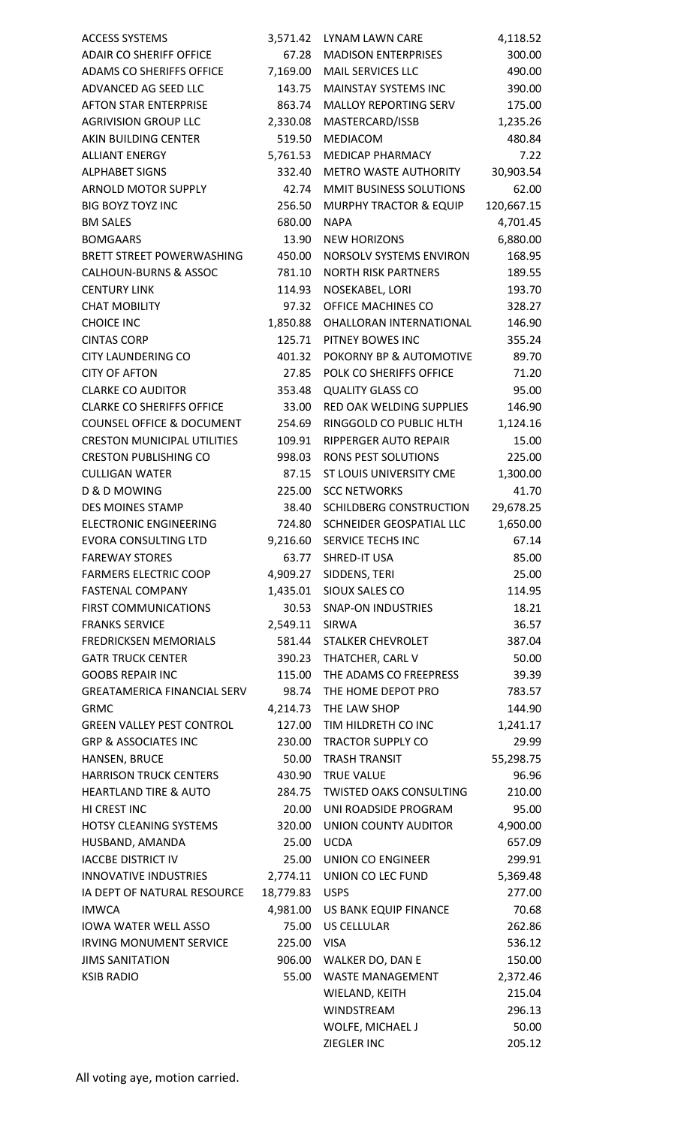| <b>ACCESS SYSTEMS</b>                                 | 3,571.42  | LYNAM LAWN CARE                                   | 4,118.52          |
|-------------------------------------------------------|-----------|---------------------------------------------------|-------------------|
| <b>ADAIR CO SHERIFF OFFICE</b>                        | 67.28     | <b>MADISON ENTERPRISES</b>                        | 300.00            |
| ADAMS CO SHERIFFS OFFICE                              | 7,169.00  | MAIL SERVICES LLC                                 | 490.00            |
| ADVANCED AG SEED LLC                                  | 143.75    | <b>MAINSTAY SYSTEMS INC</b>                       | 390.00            |
| <b>AFTON STAR ENTERPRISE</b>                          | 863.74    | <b>MALLOY REPORTING SERV</b>                      | 175.00            |
| <b>AGRIVISION GROUP LLC</b>                           | 2,330.08  | MASTERCARD/ISSB                                   | 1,235.26          |
| AKIN BUILDING CENTER                                  | 519.50    | MEDIACOM                                          | 480.84            |
| <b>ALLIANT ENERGY</b>                                 | 5,761.53  | MEDICAP PHARMACY                                  | 7.22              |
| <b>ALPHABET SIGNS</b>                                 | 332.40    | <b>METRO WASTE AUTHORITY</b>                      | 30,903.54         |
| ARNOLD MOTOR SUPPLY                                   | 42.74     | MMIT BUSINESS SOLUTIONS                           | 62.00             |
| <b>BIG BOYZ TOYZ INC</b>                              | 256.50    | <b>MURPHY TRACTOR &amp; EQUIP</b>                 | 120,667.15        |
| <b>BM SALES</b>                                       | 680.00    | <b>NAPA</b>                                       | 4,701.45          |
| <b>BOMGAARS</b>                                       | 13.90     | <b>NEW HORIZONS</b>                               | 6,880.00          |
| <b>BRETT STREET POWERWASHING</b>                      | 450.00    | <b>NORSOLV SYSTEMS ENVIRON</b>                    | 168.95            |
| <b>CALHOUN-BURNS &amp; ASSOC</b>                      | 781.10    | <b>NORTH RISK PARTNERS</b>                        | 189.55            |
| <b>CENTURY LINK</b>                                   | 114.93    | NOSEKABEL, LORI                                   | 193.70            |
| <b>CHAT MOBILITY</b>                                  | 97.32     | OFFICE MACHINES CO                                | 328.27            |
| <b>CHOICE INC</b>                                     | 1,850.88  | OHALLORAN INTERNATIONAL                           | 146.90            |
| <b>CINTAS CORP</b>                                    | 125.71    | PITNEY BOWES INC                                  | 355.24            |
| <b>CITY LAUNDERING CO</b>                             | 401.32    | POKORNY BP & AUTOMOTIVE                           | 89.70             |
| <b>CITY OF AFTON</b>                                  | 27.85     | POLK CO SHERIFFS OFFICE                           | 71.20             |
| <b>CLARKE CO AUDITOR</b>                              | 353.48    | <b>QUALITY GLASS CO</b>                           | 95.00             |
| <b>CLARKE CO SHERIFFS OFFICE</b>                      | 33.00     | RED OAK WELDING SUPPLIES                          | 146.90            |
| <b>COUNSEL OFFICE &amp; DOCUMENT</b>                  | 254.69    | RINGGOLD CO PUBLIC HLTH                           | 1,124.16          |
| <b>CRESTON MUNICIPAL UTILITIES</b>                    | 109.91    | RIPPERGER AUTO REPAIR                             | 15.00             |
| <b>CRESTON PUBLISHING CO</b>                          | 998.03    | <b>RONS PEST SOLUTIONS</b>                        | 225.00            |
| <b>CULLIGAN WATER</b>                                 | 87.15     | ST LOUIS UNIVERSITY CME                           |                   |
| D & D MOWING                                          | 225.00    | <b>SCC NETWORKS</b>                               | 1,300.00<br>41.70 |
| <b>DES MOINES STAMP</b>                               | 38.40     | SCHILDBERG CONSTRUCTION                           |                   |
| <b>ELECTRONIC ENGINEERING</b>                         | 724.80    | SCHNEIDER GEOSPATIAL LLC                          | 29,678.25         |
| <b>EVORA CONSULTING LTD</b>                           |           |                                                   | 1,650.00          |
|                                                       |           | 9,216.60 SERVICE TECHS INC<br><b>SHRED-IT USA</b> | 67.14             |
| <b>FAREWAY STORES</b><br><b>FARMERS ELECTRIC COOP</b> | 63.77     |                                                   | 85.00             |
|                                                       | 4,909.27  | SIDDENS, TERI                                     | 25.00             |
| <b>FASTENAL COMPANY</b>                               | 1,435.01  | SIOUX SALES CO                                    | 114.95            |
| <b>FIRST COMMUNICATIONS</b>                           | 30.53     | <b>SNAP-ON INDUSTRIES</b>                         | 18.21             |
| <b>FRANKS SERVICE</b>                                 | 2,549.11  | <b>SIRWA</b>                                      | 36.57             |
| <b>FREDRICKSEN MEMORIALS</b>                          | 581.44    | <b>STALKER CHEVROLET</b>                          | 387.04            |
| <b>GATR TRUCK CENTER</b>                              | 390.23    | THATCHER, CARL V                                  | 50.00             |
| <b>GOOBS REPAIR INC</b>                               | 115.00    | THE ADAMS CO FREEPRESS                            | 39.39             |
| <b>GREATAMERICA FINANCIAL SERV</b>                    | 98.74     | THE HOME DEPOT PRO                                | 783.57            |
| <b>GRMC</b>                                           | 4,214.73  | THE LAW SHOP                                      | 144.90            |
| <b>GREEN VALLEY PEST CONTROL</b>                      | 127.00    | TIM HILDRETH CO INC                               | 1,241.17          |
| <b>GRP &amp; ASSOCIATES INC</b>                       | 230.00    | <b>TRACTOR SUPPLY CO</b>                          | 29.99             |
| HANSEN, BRUCE                                         | 50.00     | <b>TRASH TRANSIT</b>                              | 55,298.75         |
| <b>HARRISON TRUCK CENTERS</b>                         | 430.90    | <b>TRUE VALUE</b>                                 | 96.96             |
| <b>HEARTLAND TIRE &amp; AUTO</b>                      | 284.75    | <b>TWISTED OAKS CONSULTING</b>                    | 210.00            |
| HI CREST INC                                          | 20.00     | UNI ROADSIDE PROGRAM                              | 95.00             |
| HOTSY CLEANING SYSTEMS                                | 320.00    | UNION COUNTY AUDITOR                              | 4,900.00          |
| HUSBAND, AMANDA                                       | 25.00     | <b>UCDA</b>                                       | 657.09            |
| <b>IACCBE DISTRICT IV</b>                             | 25.00     | UNION CO ENGINEER                                 | 299.91            |
| INNOVATIVE INDUSTRIES                                 | 2,774.11  | UNION CO LEC FUND                                 | 5,369.48          |
| IA DEPT OF NATURAL RESOURCE                           | 18,779.83 | <b>USPS</b>                                       | 277.00            |
| <b>IMWCA</b>                                          | 4,981.00  | US BANK EQUIP FINANCE                             | 70.68             |
| <b>IOWA WATER WELL ASSO</b>                           | 75.00     | <b>US CELLULAR</b>                                | 262.86            |
| <b>IRVING MONUMENT SERVICE</b>                        | 225.00    | <b>VISA</b>                                       | 536.12            |
| <b>JIMS SANITATION</b>                                | 906.00    | WALKER DO, DAN E                                  | 150.00            |
| <b>KSIB RADIO</b>                                     | 55.00     | <b>WASTE MANAGEMENT</b>                           | 2,372.46          |
|                                                       |           | WIELAND, KEITH                                    | 215.04            |
|                                                       |           | <b>WINDSTREAM</b>                                 | 296.13            |
|                                                       |           | WOLFE, MICHAEL J                                  | 50.00             |
|                                                       |           | <b>ZIEGLER INC</b>                                | 205.12            |